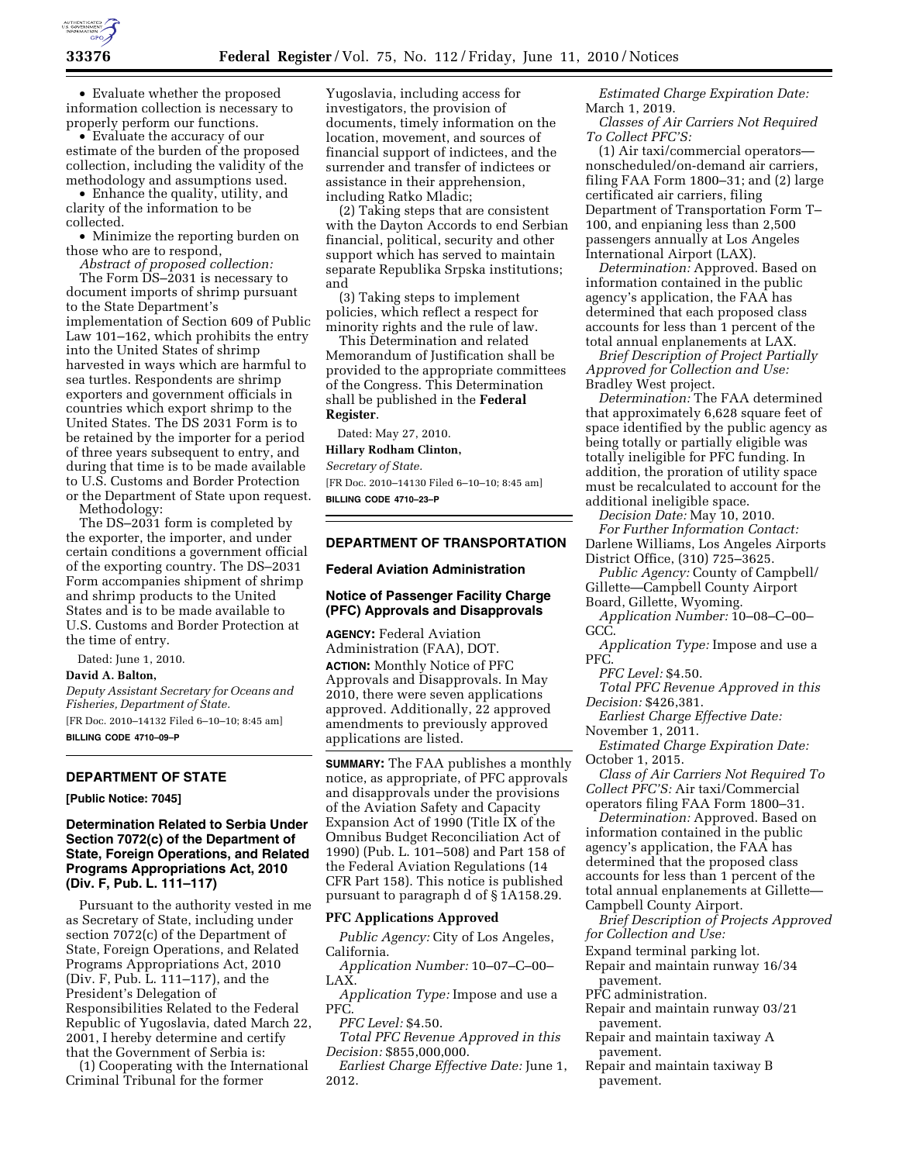

• Evaluate whether the proposed information collection is necessary to properly perform our functions.

• Evaluate the accuracy of our estimate of the burden of the proposed collection, including the validity of the methodology and assumptions used.

• Enhance the quality, utility, and clarity of the information to be collected.

• Minimize the reporting burden on those who are to respond,

*Abstract of proposed collection:* 

The Form DS-2031 is necessary to document imports of shrimp pursuant to the State Department's implementation of Section 609 of Public Law 101–162, which prohibits the entry into the United States of shrimp harvested in ways which are harmful to sea turtles. Respondents are shrimp exporters and government officials in countries which export shrimp to the United States. The DS 2031 Form is to be retained by the importer for a period of three years subsequent to entry, and during that time is to be made available to U.S. Customs and Border Protection or the Department of State upon request.

Methodology:

The DS–2031 form is completed by the exporter, the importer, and under certain conditions a government official of the exporting country. The DS–2031 Form accompanies shipment of shrimp and shrimp products to the United States and is to be made available to U.S. Customs and Border Protection at the time of entry.

Dated: June 1, 2010. **David A. Balton,** 

*Deputy Assistant Secretary for Oceans and Fisheries, Department of State.*  [FR Doc. 2010–14132 Filed 6–10–10; 8:45 am] **BILLING CODE 4710–09–P** 

# **DEPARTMENT OF STATE**

**[Public Notice: 7045]** 

## **Determination Related to Serbia Under Section 7072(c) of the Department of State, Foreign Operations, and Related Programs Appropriations Act, 2010 (Div. F, Pub. L. 111–117)**

Pursuant to the authority vested in me as Secretary of State, including under section 7072(c) of the Department of State, Foreign Operations, and Related Programs Appropriations Act, 2010 (Div. F, Pub. L. 111–117), and the President's Delegation of Responsibilities Related to the Federal Republic of Yugoslavia, dated March 22, 2001, I hereby determine and certify that the Government of Serbia is:

(1) Cooperating with the International Criminal Tribunal for the former

Yugoslavia, including access for investigators, the provision of documents, timely information on the location, movement, and sources of financial support of indictees, and the surrender and transfer of indictees or assistance in their apprehension, including Ratko Mladic;

(2) Taking steps that are consistent with the Dayton Accords to end Serbian financial, political, security and other support which has served to maintain separate Republika Srpska institutions; and

(3) Taking steps to implement policies, which reflect a respect for minority rights and the rule of law.

This Determination and related Memorandum of Justification shall be provided to the appropriate committees of the Congress. This Determination shall be published in the **Federal Register**.

Dated: May 27, 2010.

**Hillary Rodham Clinton,** 

*Secretary of State.* 

[FR Doc. 2010–14130 Filed 6–10–10; 8:45 am] **BILLING CODE 4710–23–P** 

## **DEPARTMENT OF TRANSPORTATION**

### **Federal Aviation Administration**

## **Notice of Passenger Facility Charge (PFC) Approvals and Disapprovals**

**AGENCY:** Federal Aviation Administration (FAA), DOT. **ACTION:** Monthly Notice of PFC Approvals and Disapprovals. In May 2010, there were seven applications approved. Additionally, 22 approved amendments to previously approved applications are listed.

**SUMMARY:** The FAA publishes a monthly notice, as appropriate, of PFC approvals and disapprovals under the provisions of the Aviation Safety and Capacity Expansion Act of 1990 (Title IX of the Omnibus Budget Reconciliation Act of 1990) (Pub. L. 101–508) and Part 158 of the Federal Aviation Regulations (14 CFR Part 158). This notice is published pursuant to paragraph d of § 1A158.29.

## **PFC Applications Approved**

*Public Agency:* City of Los Angeles, California.

*Application Number:* 10–07–C–00– LAX.

*Application Type:* Impose and use a PFC.

*PFC Level:* \$4.50.

*Total PFC Revenue Approved in this Decision:* \$855,000,000.

*Earliest Charge Effective Date:* June 1, 2012.

*Estimated Charge Expiration Date:*  March 1, 2019.

*Classes of Air Carriers Not Required To Collect PFC'S:* 

(1) Air taxi/commercial operators nonscheduled/on-demand air carriers, filing FAA Form 1800–31; and (2) large certificated air carriers, filing Department of Transportation Form T– 100, and enpianing less than 2,500 passengers annually at Los Angeles International Airport (LAX).

*Determination:* Approved. Based on information contained in the public agency's application, the FAA has determined that each proposed class accounts for less than 1 percent of the total annual enplanements at LAX.

*Brief Description of Project Partially Approved for Collection and Use:*  Bradley West project.

*Determination:* The FAA determined that approximately 6,628 square feet of space identified by the public agency as being totally or partially eligible was totally ineligible for PFC funding. In addition, the proration of utility space must be recalculated to account for the additional ineligible space.

*Decision Date:* May 10, 2010. *For Further Information Contact:*  Darlene Williams, Los Angeles Airports District Office, (310) 725–3625.

*Public Agency:* County of Campbell/ Gillette—Campbell County Airport

Board, Gillette, Wyoming. *Application Number:* 10–08–C–00–

GCC.

*Application Type:* Impose and use a PFC.

*PFC Level:* \$4.50.

*Total PFC Revenue Approved in this Decision:* \$426,381.

*Earliest Charge Effective Date:* 

November 1, 2011.

*Estimated Charge Expiration Date:*  October 1, 2015.

*Class of Air Carriers Not Required To Collect PFC'S:* Air taxi/Commercial operators filing FAA Form 1800–31.

*Determination:* Approved. Based on information contained in the public agency's application, the FAA has determined that the proposed class accounts for less than 1 percent of the total annual enplanements at Gillette— Campbell County Airport.

*Brief Description of Projects Approved for Collection and Use:* 

Expand terminal parking lot.

Repair and maintain runway 16/34 pavement.

PFC administration.

- Repair and maintain runway 03/21 pavement.
- Repair and maintain taxiway A pavement.
- Repair and maintain taxiway B pavement.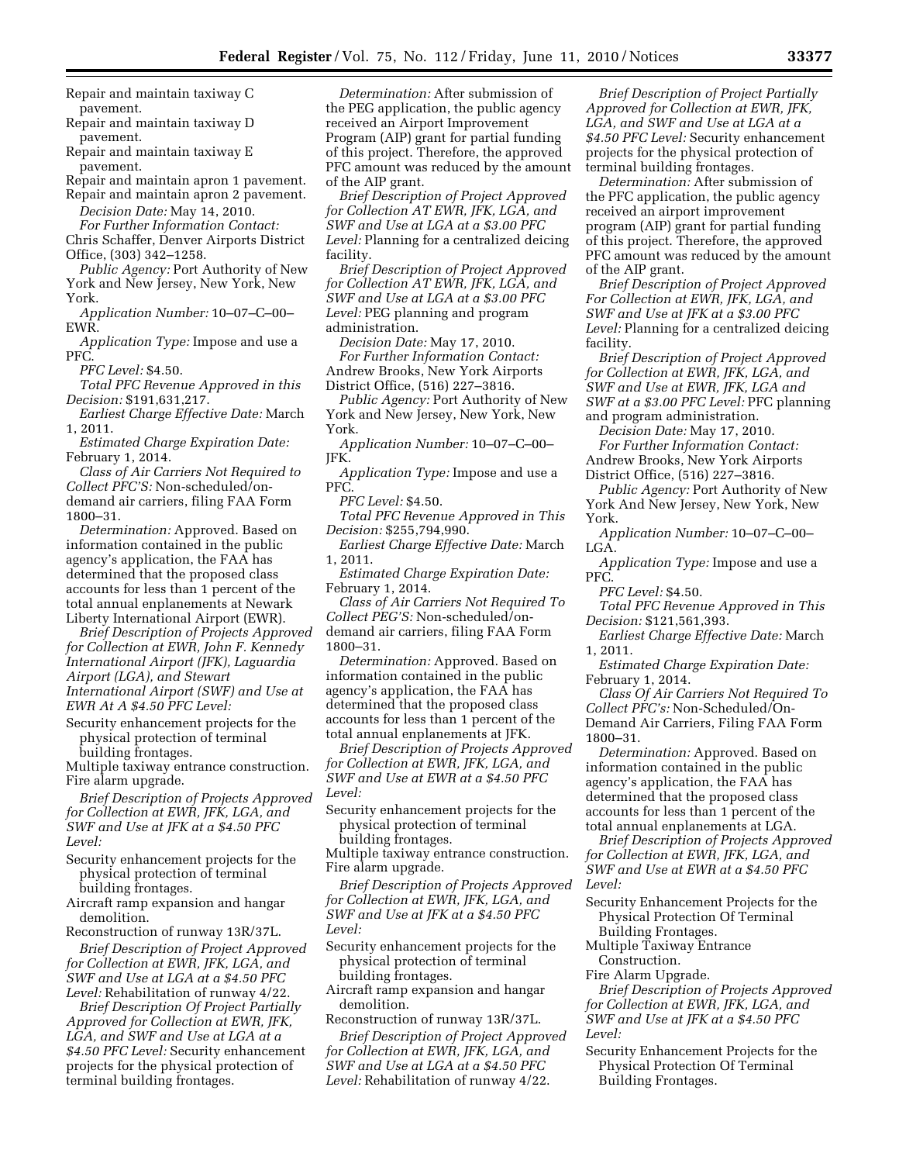Repair and maintain taxiway C pavement.

Repair and maintain taxiway D pavement.

Repair and maintain taxiway E pavement.

Repair and maintain apron 1 pavement.

Repair and maintain apron 2 pavement. *Decision Date:* May 14, 2010.

*For Further Information Contact:* 

Chris Schaffer, Denver Airports District Office, (303) 342–1258.

*Public Agency:* Port Authority of New York and New Jersey, New York, New York.

*Application Number:* 10–07–C–00– EWR.

*Application Type:* Impose and use a PFC.

*PFC Level:* \$4.50.

*Total PFC Revenue Approved in this Decision:* \$191,631,217.

*Earliest Charge Effective Date:* March 1, 2011.

*Estimated Charge Expiration Date:*  February 1, 2014.

*Class of Air Carriers Not Required to Collect PFC'S:* Non-scheduled/ondemand air carriers, filing FAA Form 1800–31.

*Determination:* Approved. Based on information contained in the public agency's application, the FAA has determined that the proposed class accounts for less than 1 percent of the total annual enplanements at Newark Liberty International Airport (EWR).

*Brief Description of Projects Approved for Collection at EWR, John F. Kennedy International Airport (JFK), Laguardia Airport (LGA), and Stewart International Airport (SWF) and Use at EWR At A \$4.50 PFC Level:* 

Security enhancement projects for the physical protection of terminal building frontages.

Multiple taxiway entrance construction. Fire alarm upgrade.

*Brief Description of Projects Approved for Collection at EWR, JFK, LGA, and SWF and Use at JFK at a \$4.50 PFC Level:* 

Security enhancement projects for the physical protection of terminal building frontages.

Aircraft ramp expansion and hangar demolition.

Reconstruction of runway 13R/37L.

*Brief Description of Project Approved for Collection at EWR, JFK, LGA, and SWF and Use at LGA at a \$4.50 PFC Level:* Rehabilitation of runway 4/22.

*Brief Description Of Project Partially Approved for Collection at EWR, JFK, LGA, and SWF and Use at LGA at a \$4.50 PFC Level:* Security enhancement projects for the physical protection of terminal building frontages.

*Determination:* After submission of the PEG application, the public agency received an Airport Improvement Program (AIP) grant for partial funding of this project. Therefore, the approved PFC amount was reduced by the amount of the AIP grant.

*Brief Description of Project Approved for Collection AT EWR, JFK, LGA, and SWF and Use at LGA at a \$3.00 PFC Level:* Planning for a centralized deicing facility.

*Brief Description of Project Approved for Collection AT EWR, JFK, LGA, and SWF and Use at LGA at a \$3.00 PFC Level:* PEG planning and program administration.

*Decision Date:* May 17, 2010. *For Further Information Contact:*  Andrew Brooks, New York Airports District Office, (516) 227–3816.

*Public Agency:* Port Authority of New York and New Jersey, New York, New York.

*Application Number:* 10–07–C–00– JFK.

*Application Type:* Impose and use a PFC.

*PFC Level:* \$4.50.

*Total PFC Revenue Approved in This Decision:* \$255,794,990.

*Earliest Charge Effective Date:* March 1, 2011.

*Estimated Charge Expiration Date:*  February 1, 2014.

*Class of Air Carriers Not Required To Collect PEG'S:* Non-scheduled/ondemand air carriers, filing FAA Form 1800–31.

*Determination:* Approved. Based on information contained in the public agency's application, the FAA has determined that the proposed class accounts for less than 1 percent of the total annual enplanements at JFK.

*Brief Description of Projects Approved for Collection at EWR, JFK, LGA, and SWF and Use at EWR at a \$4.50 PFC Level:* 

Security enhancement projects for the physical protection of terminal building frontages.

Multiple taxiway entrance construction. Fire alarm upgrade.

*Brief Description of Projects Approved for Collection at EWR, JFK, LGA, and SWF and Use at JFK at a \$4.50 PFC Level:* 

Security enhancement projects for the physical protection of terminal building frontages.

Aircraft ramp expansion and hangar demolition.

Reconstruction of runway 13R/37L.

*Brief Description of Project Approved for Collection at EWR, JFK, LGA, and SWF and Use at LGA at a \$4.50 PFC Level:* Rehabilitation of runway 4/22.

*Brief Description of Project Partially Approved for Collection at EWR, JFK, LGA, and SWF and Use at LGA at a \$4.50 PFC Level:* Security enhancement projects for the physical protection of terminal building frontages.

*Determination:* After submission of the PFC application, the public agency received an airport improvement program (AIP) grant for partial funding of this project. Therefore, the approved PFC amount was reduced by the amount of the AIP grant.

*Brief Description of Project Approved For Collection at EWR, JFK, LGA, and SWF and Use at JFK at a \$3.00 PFC Level:* Planning for a centralized deicing facility.

*Brief Description of Project Approved for Collection at EWR, JFK, LGA, and SWF and Use at EWR, JFK, LGA and SWF at a \$3.00 PFC Level:* PFC planning and program administration.

*Decision Date:* May 17, 2010.

*For Further Information Contact:*  Andrew Brooks, New York Airports District Office, (516) 227–3816.

*Public Agency:* Port Authority of New York And New Jersey, New York, New York.

*Application Number:* 10–07–C–00– LGA.

*Application Type:* Impose and use a PFC.

*PFC Level:* \$4.50.

*Total PFC Revenue Approved in This Decision:* \$121,561,393.

*Earliest Charge Effective Date:* March 1, 2011.

*Estimated Charge Expiration Date:*  February 1, 2014.

*Class Of Air Carriers Not Required To Collect PFC's:* Non-Scheduled/On-Demand Air Carriers, Filing FAA Form 1800–31.

*Determination:* Approved. Based on information contained in the public agency's application, the FAA has determined that the proposed class accounts for less than 1 percent of the total annual enplanements at LGA.

*Brief Description of Projects Approved for Collection at EWR, JFK, LGA, and SWF and Use at EWR at a \$4.50 PFC Level:* 

Security Enhancement Projects for the Physical Protection Of Terminal Building Frontages.

Multiple Taxiway Entrance Construction.

Fire Alarm Upgrade.

*Brief Description of Projects Approved for Collection at EWR, JFK, LGA, and SWF and Use at JFK at a \$4.50 PFC Level:* 

Security Enhancement Projects for the Physical Protection Of Terminal Building Frontages.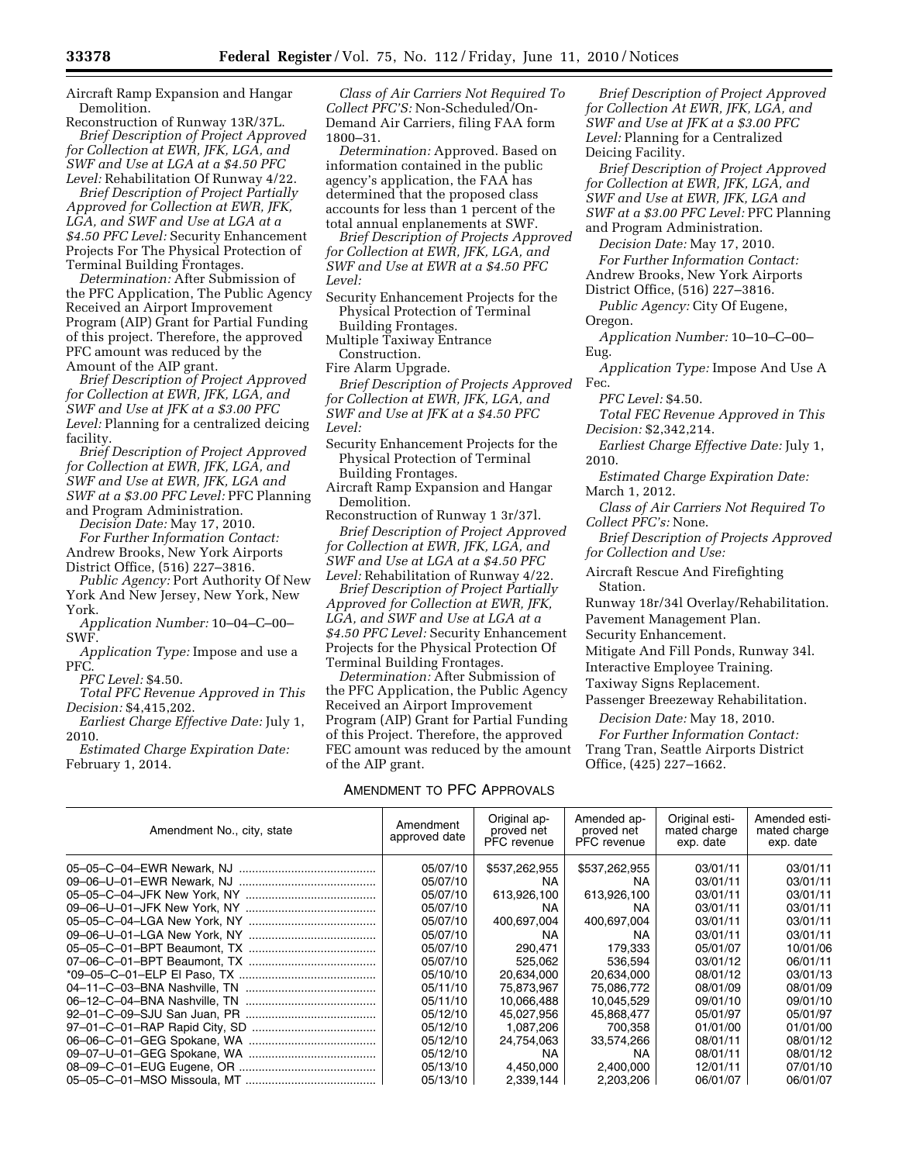Aircraft Ramp Expansion and Hangar Demolition.

Reconstruction of Runway 13R/37L. *Brief Description of Project Approved for Collection at EWR, JFK, LGA, and SWF and Use at LGA at a \$4.50 PFC Level:* Rehabilitation Of Runway 4/22.

*Brief Description of Project Partially Approved for Collection at EWR, JFK, LGA, and SWF and Use at LGA at a \$4.50 PFC Level:* Security Enhancement Projects For The Physical Protection of Terminal Building Frontages.

*Determination:* After Submission of the PFC Application, The Public Agency Received an Airport Improvement Program (AIP) Grant for Partial Funding of this project. Therefore, the approved PFC amount was reduced by the Amount of the AIP grant.

*Brief Description of Project Approved for Collection at EWR, JFK, LGA, and SWF and Use at JFK at a \$3.00 PFC Level:* Planning for a centralized deicing facility.

*Brief Description of Project Approved for Collection at EWR, JFK, LGA, and SWF and Use at EWR, JFK, LGA and SWF at a \$3.00 PFC Level:* PFC Planning

and Program Administration. *Decision Date:* May 17, 2010.

*For Further Information Contact:*  Andrew Brooks, New York Airports District Office, (516) 227–3816.

*Public Agency:* Port Authority Of New York And New Jersey, New York, New York.

*Application Number:* 10–04–C–00– SWF.

*Application Type:* Impose and use a PFC.

*PFC Level:* \$4.50.

*Total PFC Revenue Approved in This Decision:* \$4,415,202.

*Earliest Charge Effective Date:* July 1, 2010.

*Estimated Charge Expiration Date:*  February 1, 2014.

*Class of Air Carriers Not Required To Collect PFC'S:* Non-Scheduled/On-Demand Air Carriers, filing FAA form 1800–31.

*Determination:* Approved. Based on information contained in the public agency's application, the FAA has determined that the proposed class accounts for less than 1 percent of the total annual enplanements at SWF.

*Brief Description of Projects Approved for Collection at EWR, JFK, LGA, and SWF and Use at EWR at a \$4.50 PFC Level:* 

Security Enhancement Projects for the Physical Protection of Terminal Building Frontages.

Multiple Taxiway Entrance

Construction. Fire Alarm Upgrade.

*Brief Description of Projects Approved for Collection at EWR, JFK, LGA, and SWF and Use at JFK at a \$4.50 PFC Level:* 

- Security Enhancement Projects for the Physical Protection of Terminal Building Frontages.
- Aircraft Ramp Expansion and Hangar Demolition.

Reconstruction of Runway 1 3r/37l.

*Brief Description of Project Approved for Collection at EWR, JFK, LGA, and SWF and Use at LGA at a \$4.50 PFC Level:* Rehabilitation of Runway 4/22.

*Brief Description of Project Partially Approved for Collection at EWR, JFK, LGA, and SWF and Use at LGA at a \$4.50 PFC Level:* Security Enhancement Projects for the Physical Protection Of Terminal Building Frontages.

*Determination:* After Submission of the PFC Application, the Public Agency Received an Airport Improvement Program (AIP) Grant for Partial Funding of this Project. Therefore, the approved FEC amount was reduced by the amount of the AIP grant.

#### AMENDMENT TO PFC APPROVALS

*Brief Description of Project Approved for Collection At EWR, JFK, LGA, and SWF and Use at JFK at a \$3.00 PFC Level:* Planning for a Centralized Deicing Facility.

*Brief Description of Project Approved for Collection at EWR, JFK, LGA, and SWF and Use at EWR, JFK, LGA and SWF at a \$3.00 PFC Level:* PFC Planning and Program Administration.

*Decision Date:* May 17, 2010. *For Further Information Contact:* 

Andrew Brooks, New York Airports District Office, (516) 227–3816.

*Public Agency:* City Of Eugene, Oregon.

*Application Number:* 10–10–C–00– Eug.

*Application Type:* Impose And Use A Fec.

*PFC Level:* \$4.50.

- *Total FEC Revenue Approved in This Decision:* \$2,342,214.
- *Earliest Charge Effective Date:* July 1, 2010.

*Estimated Charge Expiration Date:*  March 1, 2012.

*Class of Air Carriers Not Required To Collect PFC's:* None.

*Brief Description of Projects Approved for Collection and Use:* 

Aircraft Rescue And Firefighting Station.

Runway 18r/34l Overlay/Rehabilitation. Pavement Management Plan.

Security Enhancement.

Mitigate And Fill Ponds, Runway 34l.

Interactive Employee Training.

Taxiway Signs Replacement.

Passenger Breezeway Rehabilitation.

*Decision Date:* May 18, 2010.

*For Further Information Contact:*  Trang Tran, Seattle Airports District Office, (425) 227–1662.

| Amendment No., city, state | Amendment<br>approved date | Original ap-<br>proved net<br>PFC revenue | Amended ap-<br>proved net<br><b>PFC</b> revenue | Original esti-<br>mated charge<br>exp. date | Amended esti-<br>mated charge<br>exp. date |
|----------------------------|----------------------------|-------------------------------------------|-------------------------------------------------|---------------------------------------------|--------------------------------------------|
|                            | 05/07/10                   | \$537,262,955                             | \$537,262,955                                   | 03/01/11                                    | 03/01/11                                   |
|                            | 05/07/10                   | NA.                                       | NA.                                             | 03/01/11                                    | 03/01/11                                   |
|                            | 05/07/10                   | 613,926,100                               | 613,926,100                                     | 03/01/11                                    | 03/01/11                                   |
|                            | 05/07/10                   | NA.                                       | ΝA                                              | 03/01/11                                    | 03/01/11                                   |
|                            | 05/07/10                   | 400,697,004                               | 400,697,004                                     | 03/01/11                                    | 03/01/11                                   |
|                            | 05/07/10                   | NA.                                       | NA.                                             | 03/01/11                                    | 03/01/11                                   |
|                            | 05/07/10                   | 290.471                                   | 179.333                                         | 05/01/07                                    | 10/01/06                                   |
|                            | 05/07/10                   | 525.062                                   | 536.594                                         | 03/01/12                                    | 06/01/11                                   |
|                            | 05/10/10                   | 20,634,000                                | 20,634,000                                      | 08/01/12                                    | 03/01/13                                   |
|                            | 05/11/10                   | 75,873,967                                | 75,086,772                                      | 08/01/09                                    | 08/01/09                                   |
|                            | 05/11/10                   | 10,066,488                                | 10,045,529                                      | 09/01/10                                    | 09/01/10                                   |
|                            | 05/12/10                   | 45,027,956                                | 45,868,477                                      | 05/01/97                                    | 05/01/97                                   |
|                            | 05/12/10                   | 1,087,206                                 | 700.358                                         | 01/01/00                                    | 01/01/00                                   |
|                            | 05/12/10                   | 24,754,063                                | 33,574,266                                      | 08/01/11                                    | 08/01/12                                   |
|                            | 05/12/10                   | NA.                                       | NA.                                             | 08/01/11                                    | 08/01/12                                   |
|                            | 05/13/10                   | 4,450,000                                 | 2,400,000                                       | 12/01/11                                    | 07/01/10                                   |
|                            | 05/13/10                   | 2,339,144                                 | 2,203,206                                       | 06/01/07                                    | 06/01/07                                   |